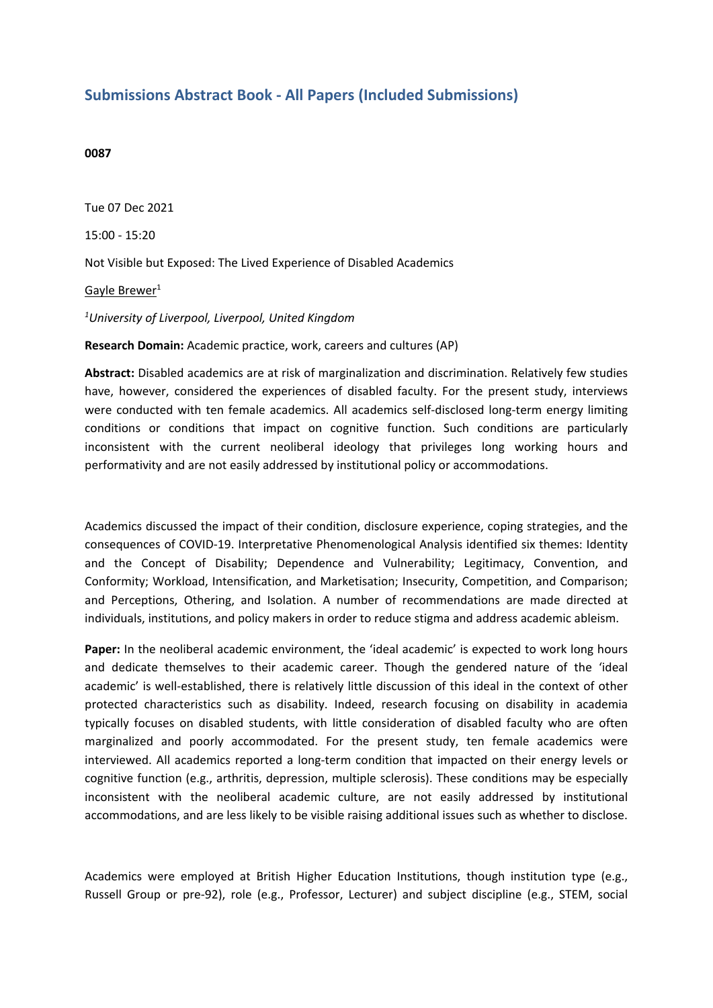## **Submissions Abstract Book - All Papers (Included Submissions)**

## **0087**

Tue 07 Dec 2021 15:00 - 15:20 Not Visible but Exposed: The Lived Experience of Disabled Academics Gayle Brewer<sup>1</sup> *1 University of Liverpool, Liverpool, United Kingdom* **Research Domain:** Academic practice, work, careers and cultures (AP)

**Abstract:** Disabled academics are at risk of marginalization and discrimination. Relatively few studies have, however, considered the experiences of disabled faculty. For the present study, interviews were conducted with ten female academics. All academics self-disclosed long-term energy limiting conditions or conditions that impact on cognitive function. Such conditions are particularly inconsistent with the current neoliberal ideology that privileges long working hours and performativity and are not easily addressed by institutional policy or accommodations.

Academics discussed the impact of their condition, disclosure experience, coping strategies, and the consequences of COVID-19. Interpretative Phenomenological Analysis identified six themes: Identity and the Concept of Disability; Dependence and Vulnerability; Legitimacy, Convention, and Conformity; Workload, Intensification, and Marketisation; Insecurity, Competition, and Comparison; and Perceptions, Othering, and Isolation. A number of recommendations are made directed at individuals, institutions, and policy makers in order to reduce stigma and address academic ableism.

Paper: In the neoliberal academic environment, the 'ideal academic' is expected to work long hours and dedicate themselves to their academic career. Though the gendered nature of the 'ideal academic' is well-established, there is relatively little discussion of this ideal in the context of other protected characteristics such as disability. Indeed, research focusing on disability in academia typically focuses on disabled students, with little consideration of disabled faculty who are often marginalized and poorly accommodated. For the present study, ten female academics were interviewed. All academics reported <sup>a</sup> long-term condition that impacted on their energy levels or cognitive function (e.g., arthritis, depression, multiple sclerosis). These conditions may be especially inconsistent with the neoliberal academic culture, are not easily addressed by institutional accommodations, and are less likely to be visible raising additional issues such as whether to disclose.

Academics were employed at British Higher Education Institutions, though institution type (e.g., Russell Group or pre-92), role (e.g., Professor, Lecturer) and subject discipline (e.g., STEM, social